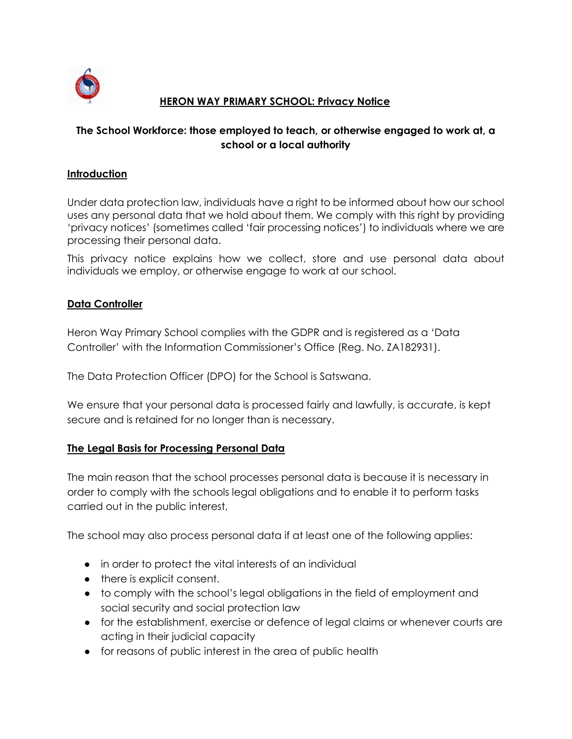

## **HERON WAY PRIMARY SCHOOL: Privacy Notice**

# **The School Workforce: those employed to teach, or otherwise engaged to work at, a school or a local authority**

#### **Introduction**

Under data protection law, individuals have a right to be informed about how our school uses any personal data that we hold about them. We comply with this right by providing 'privacy notices' (sometimes called 'fair processing notices') to individuals where we are processing their personal data.

This privacy notice explains how we collect, store and use personal data about individuals we employ, or otherwise engage to work at our school.

#### **Data Controller**

Heron Way Primary School complies with the GDPR and is registered as a 'Data Controller' with the Information Commissioner's Office (Reg. No. ZA182931).

The Data Protection Officer (DPO) for the School is Satswana.

We ensure that your personal data is processed fairly and lawfully, is accurate, is kept secure and is retained for no longer than is necessary.

#### **The Legal Basis for Processing Personal Data**

The main reason that the school processes personal data is because it is necessary in order to comply with the schools legal obligations and to enable it to perform tasks carried out in the public interest,

The school may also process personal data if at least one of the following applies:

- in order to protect the vital interests of an individual
- there is explicit consent.
- to comply with the school's legal obligations in the field of employment and social security and social protection law
- for the establishment, exercise or defence of legal claims or whenever courts are acting in their judicial capacity
- for reasons of public interest in the area of public health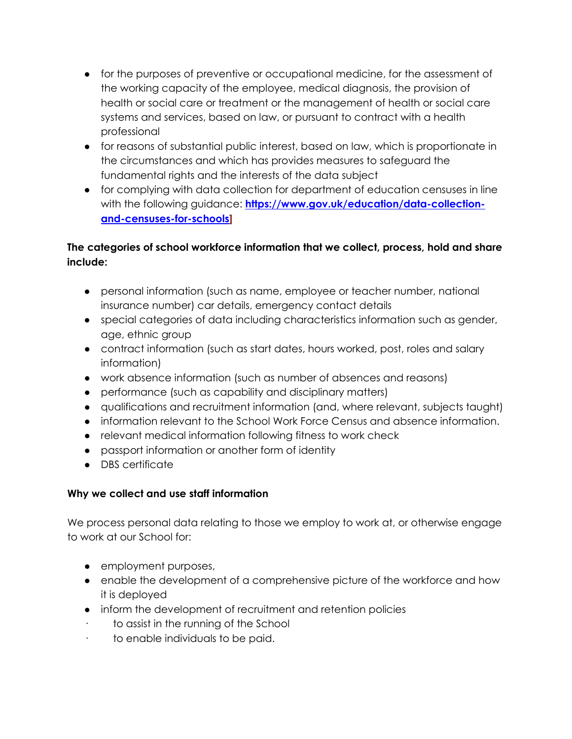- for the purposes of preventive or occupational medicine, for the assessment of the working capacity of the employee, medical diagnosis, the provision of health or social care or treatment or the management of health or social care systems and services, based on law, or pursuant to contract with a health professional
- for reasons of substantial public interest, based on law, which is proportionate in the circumstances and which has provides measures to safeguard the fundamental rights and the interests of the data subject
- for complying with data collection for department of education censuses in line with the following guidance: **[https://www.gov.uk/education/data-collection](https://www.gov.uk/education/data-collection-and-censuses-for-schools)[and-censuses-for-schools\]](https://www.gov.uk/education/data-collection-and-censuses-for-schools)**

# **The categories of school workforce information that we collect, process, hold and share include:**

- personal information (such as name, employee or teacher number, national insurance number) car details, emergency contact details
- special categories of data including characteristics information such as gender, age, ethnic group
- contract information (such as start dates, hours worked, post, roles and salary information)
- work absence information (such as number of absences and reasons)
- performance (such as capability and disciplinary matters)
- qualifications and recruitment information (and, where relevant, subjects taught)
- information relevant to the School Work Force Census and absence information.
- relevant medical information following fitness to work check
- passport information or another form of identity
- DBS certificate

# **Why we collect and use staff information**

We process personal data relating to those we employ to work at, or otherwise engage to work at our School for:

- employment purposes,
- enable the development of a comprehensive picture of the workforce and how it is deployed
- inform the development of recruitment and retention policies
- · to assist in the running of the School
- · to enable individuals to be paid.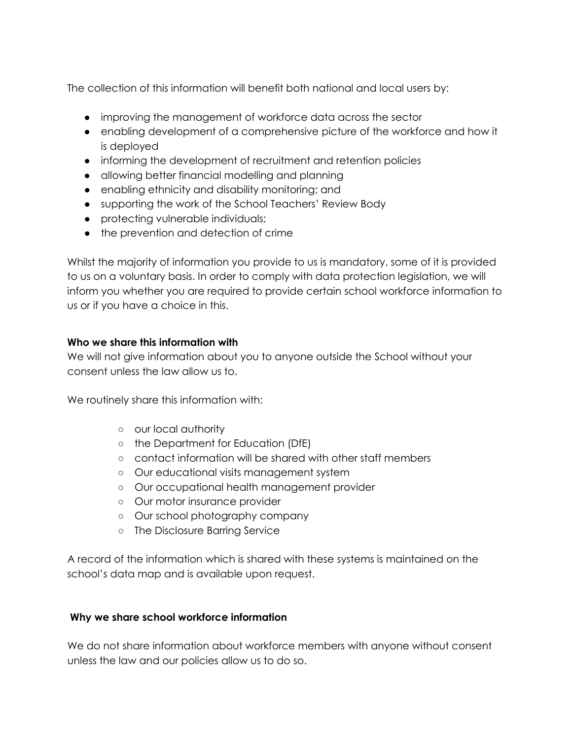The collection of this information will benefit both national and local users by:

- improving the management of workforce data across the sector
- enabling development of a comprehensive picture of the workforce and how it is deployed
- informing the development of recruitment and retention policies
- allowing better financial modelling and planning
- enabling ethnicity and disability monitoring; and
- supporting the work of the School Teachers' Review Body
- protecting vulnerable individuals;
- the prevention and detection of crime

Whilst the majority of information you provide to us is mandatory, some of it is provided to us on a voluntary basis. In order to comply with data protection legislation, we will inform you whether you are required to provide certain school workforce information to us or if you have a choice in this.

#### **Who we share this information with**

We will not give information about you to anyone outside the School without your consent unless the law allow us to.

We routinely share this information with:

- our local authority
- the Department for Education (DfE)
- contact information will be shared with other staff members
- Our educational visits management system
- Our occupational health management provider
- Our motor insurance provider
- Our school photography company
- The Disclosure Barring Service

A record of the information which is shared with these systems is maintained on the school's data map and is available upon request.

#### **Why we share school workforce information**

We do not share information about workforce members with anyone without consent unless the law and our policies allow us to do so.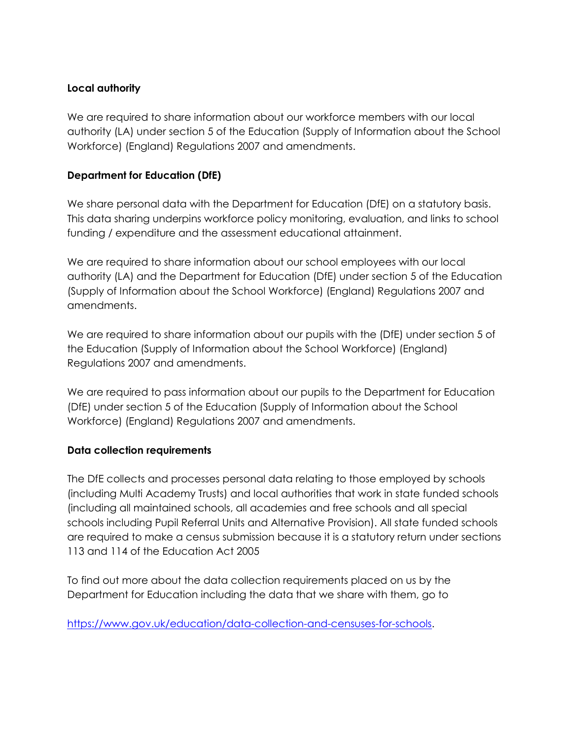## **Local authority**

We are required to share information about our workforce members with our local authority (LA) under section 5 of the Education (Supply of Information about the School Workforce) (England) Regulations 2007 and amendments.

## **Department for Education (DfE)**

We share personal data with the Department for Education (DfE) on a statutory basis. This data sharing underpins workforce policy monitoring, evaluation, and links to school funding / expenditure and the assessment educational attainment.

We are required to share information about our school employees with our local authority (LA) and the Department for Education (DfE) under section 5 of the Education (Supply of Information about the School Workforce) (England) Regulations 2007 and amendments.

We are required to share information about our pupils with the (DfE) under section 5 of the Education (Supply of Information about the School Workforce) (England) Regulations 2007 and amendments.

We are required to pass information about our pupils to the Department for Education (DfE) under section 5 of the Education (Supply of Information about the School Workforce) (England) Regulations 2007 and amendments.

#### **Data collection requirements**

The DfE collects and processes personal data relating to those employed by schools (including Multi Academy Trusts) and local authorities that work in state funded schools (including all maintained schools, all academies and free schools and all special schools including Pupil Referral Units and Alternative Provision). All state funded schools are required to make a census submission because it is a statutory return under sections 113 and 114 of the Education Act 2005

To find out more about the data collection requirements placed on us by the Department for Education including the data that we share with them, go to

[https://www.gov.uk/education/data-collection-and-censuses-for-schools.](https://www.gov.uk/education/data-collection-and-censuses-for-schools)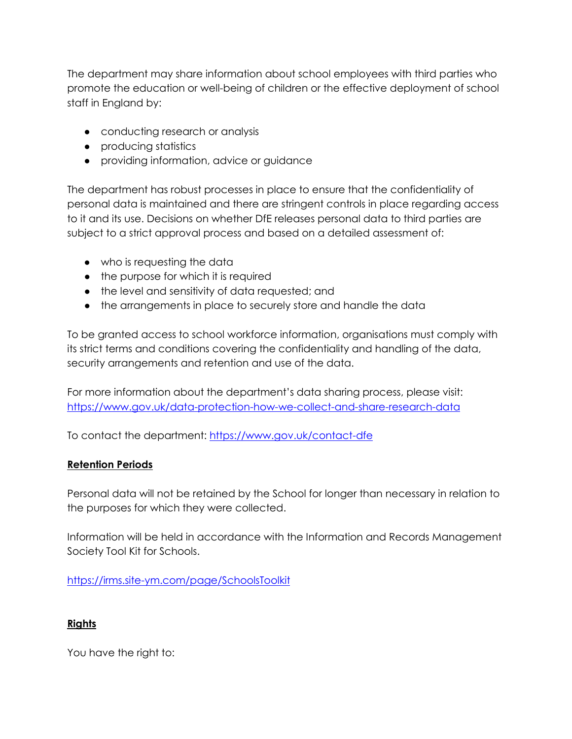The department may share information about school employees with third parties who promote the education or well-being of children or the effective deployment of school staff in England by:

- conducting research or analysis
- producing statistics
- providing information, advice or guidance

The department has robust processes in place to ensure that the confidentiality of personal data is maintained and there are stringent controls in place regarding access to it and its use. Decisions on whether DfE releases personal data to third parties are subject to a strict approval process and based on a detailed assessment of:

- who is requesting the data
- the purpose for which it is required
- the level and sensitivity of data requested; and
- the arrangements in place to securely store and handle the data

To be granted access to school workforce information, organisations must comply with its strict terms and conditions covering the confidentiality and handling of the data, security arrangements and retention and use of the data.

For more information about the department's data sharing process, please visit: <https://www.gov.uk/data-protection-how-we-collect-and-share-research-data>

To contact the department: <https://www.gov.uk/contact-dfe>

#### **Retention Periods**

Personal data will not be retained by the School for longer than necessary in relation to the purposes for which they were collected.

Information will be held in accordance with the Information and Records Management Society Tool Kit for Schools.

<https://irms.site-ym.com/page/SchoolsToolkit>

#### **Rights**

You have the right to: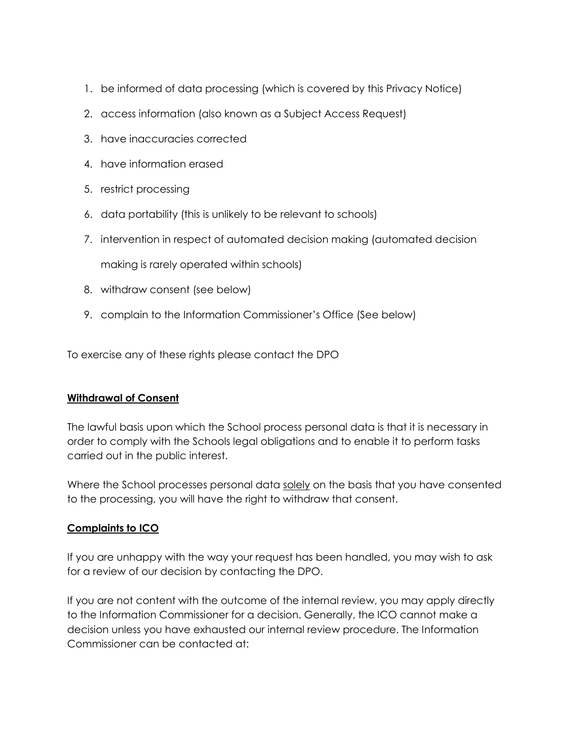- 1. be informed of data processing (which is covered by this Privacy Notice)
- 2. access information (also known as a Subject Access Request)
- 3. have inaccuracies corrected
- 4. have information erased
- 5. restrict processing
- 6. data portability (this is unlikely to be relevant to schools)
- 7. intervention in respect of automated decision making (automated decision

making is rarely operated within schools)

- 8. withdraw consent (see below)
- 9. complain to the Information Commissioner's Office (See below)

To exercise any of these rights please contact the DPO

#### **Withdrawal of Consent**

The lawful basis upon which the School process personal data is that it is necessary in order to comply with the Schools legal obligations and to enable it to perform tasks carried out in the public interest.

Where the School processes personal data solely on the basis that you have consented to the processing, you will have the right to withdraw that consent.

#### **Complaints to ICO**

If you are unhappy with the way your request has been handled, you may wish to ask for a review of our decision by contacting the DPO.

If you are not content with the outcome of the internal review, you may apply directly to the Information Commissioner for a decision. Generally, the ICO cannot make a decision unless you have exhausted our internal review procedure. The Information Commissioner can be contacted at: